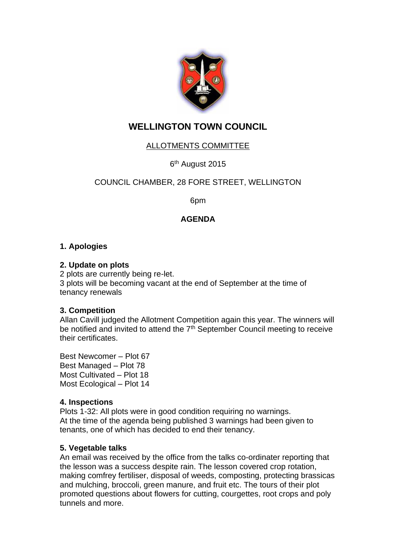

# **WELLINGTON TOWN COUNCIL**

## ALLOTMENTS COMMITTEE

6<sup>th</sup> August 2015

## COUNCIL CHAMBER, 28 FORE STREET, WELLINGTON

6pm

## **AGENDA**

## **1. Apologies**

#### **2. Update on plots**

2 plots are currently being re-let. 3 plots will be becoming vacant at the end of September at the time of tenancy renewals

#### **3. Competition**

Allan Cavill judged the Allotment Competition again this year. The winners will be notified and invited to attend the 7<sup>th</sup> September Council meeting to receive their certificates.

Best Newcomer – Plot 67 Best Managed – Plot 78 Most Cultivated – Plot 18 Most Ecological – Plot 14

## **4. Inspections**

Plots 1-32: All plots were in good condition requiring no warnings. At the time of the agenda being published 3 warnings had been given to tenants, one of which has decided to end their tenancy.

#### **5. Vegetable talks**

An email was received by the office from the talks co-ordinater reporting that the lesson was a success despite rain. The lesson covered crop rotation, making comfrey fertiliser, disposal of weeds, composting, protecting brassicas and mulching, broccoli, green manure, and fruit etc. The tours of their plot promoted questions about flowers for cutting, courgettes, root crops and poly tunnels and more.